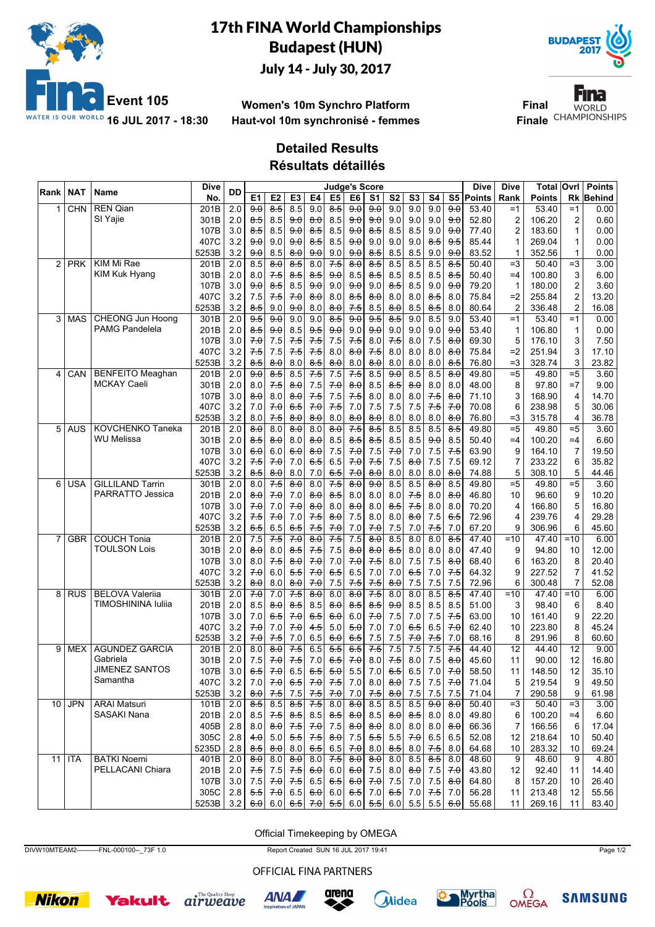

## 17th FINA World Championships Budapest (HUN) July 14 - July 30, 2017



**Women's 10m Synchro Platform Haut-vol 10m synchronisé - femmes**

Fina **Final WORLD Finale** CHAMPIONSHIPS

## **Detailed Results**

**Résultats détaillés**

| Rank           | NAT        | Name                                         | <b>Dive</b>   | DD               |                            |                         |                     |                     | <b>Judge's Score</b> |                     |                            |                            |                     |                    |                          | Dive           | Dive           | Total            | Ovrl           | <b>Points</b>  |
|----------------|------------|----------------------------------------------|---------------|------------------|----------------------------|-------------------------|---------------------|---------------------|----------------------|---------------------|----------------------------|----------------------------|---------------------|--------------------|--------------------------|----------------|----------------|------------------|----------------|----------------|
|                |            |                                              | No.           |                  | E1                         | E2                      | E3                  | E4                  | E <sub>5</sub>       | E <sub>6</sub>      | S <sub>1</sub>             | S <sub>2</sub>             | S <sub>3</sub>      | S4                 | S5                       | <b>Points</b>  | Rank           | Points           | Rk             | <b>Behind</b>  |
|                | <b>CHN</b> | <b>REN Qian</b>                              | 201B          | 2.0              | 90                         | $\overline{8.5}$        | 8.5                 | 9.0                 | $8-5$                | 90                  | 90                         | 9.0                        | 9.0                 | 9.0                | 9.0                      | 53.40          | $=1$           | 53.40            | $=1$           | 0.00           |
|                |            | SI Yaiie                                     | 301B          | 2.0              | ୫ 5                        | 8.5                     | 9.0                 | $\theta$ . $\theta$ | 8.5                  | 9.0                 | 9.0                        | 9.0                        | 9.0                 | 9.0                | 9.0                      | 52.80          | $\overline{2}$ | 106.20           | 2              | 0.60           |
|                |            |                                              | 107B          | 3.0              | 8.5                        | 8.5                     | 9.0                 | 8.5                 | 8.5                  | 9.0                 | 8.5                        | 8.5                        | 8.5                 | 9.0                | 9.0                      | 77.40          | 2              | 183.60           | 1              | 0.00           |
|                |            |                                              | 407C          | 3.2              | 9.0                        | 9.0                     | 9.0                 | 8.5                 | 8.5                  | 9.0                 | 9.0                        | 9.0                        | 9.0                 | 8.5                | 9.5                      | 85.44          | 1              | 269.04           | 1              | 0.00           |
|                |            |                                              | 5253B         | 3.2              | 9.0                        | 8.5                     | $\theta$ . $\theta$ | 9.0                 | 9.0                  | 9.0                 | 8.5                        | 8.5                        | 8.5                 | 9.0                | 9.0                      | 83.52          | $\mathbf{1}$   | 352.56           | $\mathbf{1}$   | 0.00           |
| $\overline{2}$ | <b>PRK</b> | KIM Mi Rae                                   | 201B          | 2.0              | 8.5                        | 8.0                     | 8.5                 | 8.0                 | 7.5                  | 8.0                 | 8.5                        | 8.5                        | 8.5                 | 8.5                | 8.5                      | 50.40          | $=3$           | 50.40            | $=3$           | 3.00           |
|                |            | <b>KIM Kuk Hyang</b>                         | 301B          | 2.0              | 8.0                        | 7.5                     | 8.5                 | 8.5                 | 9.0                  | 8.5                 | 8.5                        | 8.5                        | 8.5                 | 8.5                | $8-5$                    | 50.40          | $=4$           | 100.80           | 3              | 6.00           |
|                |            |                                              | 107B          | 3.0              | 9.0                        | 8.5                     | 8.5                 | 9.0                 | 9.0                  | 9.0                 | 9.0                        | 8.5                        | 8.5                 | 9.0                | 9.0                      | 79.20          | $\mathbf{1}$   | 180.00           | $\overline{2}$ | 3.60           |
|                |            |                                              | 407C          | 3.2              | 7.5                        | 7.5                     | 7.0                 | 8.0                 | 8.0                  | 8.5                 | 8.0                        | 8.0                        | 8.0                 | 8.5                | 8.0                      | 75.84          | $=2$           | 255.84           | $\overline{2}$ | 13.20          |
|                |            |                                              | 5253B         | 3.2              | 8.5                        | 9.0                     | 9.0                 | 8.0                 | 8.0                  | 7.5                 | 8.5                        | 8.0                        | 8.5                 | 8.5                | 8.0                      | 80.64          | 2              | 336.48           | $\overline{2}$ | 16.08          |
| 3              | <b>MAS</b> | <b>CHEONG Jun Hoong</b>                      | 301B          | 2.0              | 9.5                        | 9.0                     | 9.0                 | 9.0                 | 8.5                  | 9.0                 | 9.5                        | 8.5                        | 9.0                 | 8.5                | 9.0                      | 53.40          | $=1$           | 53.40            | $=1$           | 0.00           |
|                |            | <b>PAMG Pandelela</b>                        | 201B          | 2.0              | $8-5$                      | 9.0                     | 8.5                 | $9-5$               | 9.0                  | 9.0                 | 9.0                        | 9.0                        | 9.0                 | 9.0                | 9.0                      | 53.40          | 1              | 106.80           | 1              | 0.00           |
|                |            |                                              | 107B          | 3.0              | 7.0                        | 7.5                     | 7.5                 | 7.5                 | 7.5                  | 7.5                 | 8.0                        | 7.5                        | 8.0                 | 7.5                | 8.0                      | 69.30          | 5              | 176.10           | 3              | 7.50           |
|                |            |                                              | 407C          | 3.2              | 7.5                        | 7.5                     | 7.5                 | 7.5                 | 8.0                  | 8.0                 | 7.5                        | 8.0                        | 8.0                 | 8.0                | $\theta$ . $\theta$      | 75.84          | $=2$           | 251.94           | 3              | 17.10          |
|                |            |                                              | 5253B         | 3.2              | 8.5                        | 8.0                     | 8.0                 | 8.5                 | 8.0                  | 8.0                 | 8.0                        | 8.0                        | 8.0                 | 8.0                | 8.5                      | 76.80          | $=3$           | 328.74           | 3              | 23.82          |
| 4              | CAN        | <b>BENFEITO Meaghan</b>                      | 201B          | $\overline{2.0}$ | 9.0                        | $\overline{85}$         | 8.5                 | 7.5                 | 7.5                  | 7.5                 | 8.5                        | 90                         | 8.5                 | 8.5                | $\overline{8.0}$         | 49.80          | $= 5$          | 49.80            | $\overline{5}$ | 3.60           |
|                |            | <b>MCKAY Caeli</b>                           | 301B          | 2.0              | 8.0                        | 7.5                     | $\theta$ . $\theta$ | 7.5                 | 70                   | 8.0                 | 8.5                        | $8-5$                      | $\theta$ . $\theta$ | 8.0                | 8.0                      | 48.00          | 8              | 97.80            | $=7$           | 9.00           |
|                |            |                                              | 107B          | 3.0              | 8.0                        | 8.0                     | 8.0                 | 7.5                 | 7.5                  | 7.5                 | 8.0                        | 8.0                        | 8.0                 | 7.5                | 8.0                      | 71.10          | 3              | 168.90           | 4              | 14.70          |
|                |            |                                              | 407C          | 3.2              | 7.0                        | 7.0                     | 6.5                 | 70                  | 7.5                  | 7.0                 | 7.5                        | 7.5                        | 7.5                 | 7.5                | 70                       | 70.08          | 6              | 238.98           | 5              | 30.06          |
|                |            |                                              | 5253B         | 3.2              | 8.0                        | 7.5                     | 8.0                 | 8.0                 | 8.0                  | $\theta$ . $\theta$ | 8.0                        | 8.0                        | 8.0                 | 8.0                | 8.0                      | 76.80          | $=3$           | 315.78           | 4              | 36.78          |
| 5              | AUS        | <b>KOVCHENKO Taneka</b>                      | 201B          | 2.0              | 8.0                        | 8.0                     | 8.0                 | 8.0                 | 8.0                  | 7.5                 | 8.5                        | 8.5                        | 8.5                 | 8.5                | 8.5                      | 49.80          | $= 5$          | 49.80            | $= 5$          | 3.60           |
|                |            | <b>WU Melissa</b>                            | 301B          | 2.0              | $8-5$                      | 8.0                     | 8.0                 | 8.0                 | 8.5                  | 8.5                 | 8.5                        | 8.5                        | 8.5                 | 9.0                | 8.5                      | 50.40          | $=4$           | 100.20           | $=4$           | 6.60           |
|                |            |                                              | 107B          | 3.0              | <del>6.0</del>             | 6.0                     | 6.0                 | 8.0                 | 7.5                  | 70                  | 7.5                        | 7.0                        | 7.0                 | 7.5                | 7.5                      | 63.90          | 9              | 164.10           | $\overline{7}$ | 19.50          |
|                |            |                                              | 407C          | 3.2              | 7.5                        | 7.0                     | 7.0                 | 65                  | 6.5                  | 70                  | 7.5                        | 7.5                        | 8.0                 | 7.5                | 7.5                      | 69.12          | 7              | 233.22           | 6              | 35.82          |
|                |            |                                              | 5253B         | 3.2              | 8.5                        | 8.0                     | 8.0                 | 7.0                 | 6.5                  | 7.0                 | 8.0                        | 8.0                        | 8.0                 | 8.0                | 8.0                      | 74.88          | 5              | 308.10           | 5              | 44.46          |
| 6              | <b>USA</b> | <b>GILLILAND Tarrin</b>                      | 301B          | $\overline{2.0}$ | 8.0                        | 7.5                     | 80                  | 8.0                 | 7.5                  | 8.0                 | 9.0                        | 8.5                        | 8.5                 | 8.0                | 8.5                      | 49.80          | $= 5$          | 49.80            | $= 5$          | 3.60           |
|                |            | PARRATTO Jessica                             | 201B          | 2.0              | 8.0                        | 7.0                     | 7.0                 | 8.0                 | 8.5                  | 8.0                 | 8.0                        | 8.0                        | 75                  | 8.0                | 8.0                      | 46.80          | 10             | 96.60            | 9              | 10.20          |
|                |            |                                              | 107B          | 3.0              | 7.0                        | 7.0                     | 70                  | 8.0                 | 8.0                  | 8.0                 | 8.0                        | 8.5                        | 7.5                 | 8.0                | 8.0                      | 70.20          | 4              | 166.80           | 5              | 16.80          |
|                |            |                                              | 407C          | 3.2              | 75                         | 70                      | 7.0                 | 7.5                 | $\theta$ . $\theta$  | 7.5                 | 8.0                        | 8.0                        | $\theta$ $\theta$   | 7.5                | 6.5                      | 72.96          | 4              | 239.76           | 4              | 29.28          |
|                |            |                                              | 5253B         | 3.2              | 6.5                        | 6.5                     | 6.5                 | 7.5                 | 7.0                  | 7.0                 | 7.0                        | 7.5                        | 7.0                 | 7.5                | 7.0                      | 67.20          | 9              | 306.96           | 6              | 45.60          |
|                | <b>GBR</b> | <b>COUCH Tonia</b>                           | 201B          | $\overline{2.0}$ | 7.5                        | 7.5                     | 70                  | $\overline{8.0}$    | 7.5                  | 7.5                 | $\overline{8.0}$           | 8.5                        | 8.0                 | 8.0                | $\overline{8.5}$         | 47.40          | $=10$          | 47.40            | $=10$          | 6.00           |
|                |            | <b>TOULSON Lois</b>                          | 301B          | 2.0              | $\theta$ . $\theta$        | 8.0                     | 8.5                 | 7.5                 | 7.5                  | $\theta$ . $\theta$ | 8.0                        | 8.5                        | 8.0                 | 8.0                | 8.0                      | 47.40          | 9              | 94.80            | 10             | 12.00          |
|                |            |                                              | 107B          | 3.0              | 8.0                        | 7.5                     | 8.0                 | 70                  | 7.0                  | 70                  | 7.5                        | 8.0                        | 7.5                 | 7.5                | 8.0                      | 68.40          | 6              | 163.20           | 8              | 20.40          |
|                |            |                                              | 407C          | 3.2              | 7.0                        | 6.0                     | 5.5                 | 7.0                 | 6.5                  | 6.5                 | 7.0                        | 7.0                        | 6.5                 | 7.0                | 7.5                      | 64.32          | 9              | 227.52           | 7              | 41.52          |
|                |            |                                              | 5253B         | 3.2              | $\theta$ . $\theta$        | 8.0                     | $8\theta$           | 7.0                 | 7.5                  | 7.5                 | 7.5                        | $\theta$ . $\theta$        | 7.5                 | 7.5                | 7.5                      | 72.96          | 6              | 300.48           | $\overline{7}$ | 52.08          |
| 8              | <b>RUS</b> | <b>BELOVA Valerija</b><br>TIMOSHININA Iuliia | 301B          | $\overline{2.0}$ | 7.0                        | 7.0                     | 7.5                 | 8.0                 | 8.0                  | 8.0                 | $7-5$                      | 8.0                        | 8.0                 | 8.5                | 8.5                      | 47.40          | $=10$          | 47.40            | $=10$          | 6.00           |
|                |            |                                              | 201B          | 2.0              | 8.5                        | 8.0                     | 8.5                 | 8.5                 | 8.0                  | 8.5                 | 8.5                        | 9.0                        | 8.5                 | 8.5                | 8.5                      | 51.00          | 3              | 98.40            | 6              | 8.40           |
|                |            |                                              | 107B          | 3.0              | 7.0                        | 6.5                     | 70                  | 6.5                 | 6.0                  | 6.0                 | 70                         | 7.5                        | 7.0                 | 7.5                | $7-5$                    | 63.00          | 10             | 161.40           | 9              | 22.20          |
|                |            |                                              | 407C          | 3.2              | 70                         | 7.0                     | 7.0                 | 45                  | 5.0                  | 5.0                 | 7.0                        | 7.0                        | 6.5                 | 6.5                | 7.0                      | 62.40          | 10             | 223.80           | 8              | 45.24          |
|                |            | <b>AGUNDEZ GARCIA</b>                        | 5253B         | 3.2              | 70                         | 7.5<br>$\overline{8.0}$ | $7.0$               | 6.5<br>6.5          | 6.0<br>5.5           | 6.5                 | $7.5$                      | 7.5                        | $7.0$               | 7.5<br>7.5         | 7.0<br>7.5               | 68.16          | 8              | 291.96           | 8              | 60.60          |
| 9              | <b>MEX</b> | Gabriela                                     | 201B          | 2.0              | 8.0                        |                         | 7.5                 |                     |                      | 6.5                 | 7.5                        | 7.5                        | 7.5                 |                    |                          | 44.40          | 12             | 44.40            | 12             | 9.00           |
|                |            | <b>JIMENEZ SANTOS</b>                        | 301B          | 2.0              | 7.5                        | 7.0                     | 7.5                 | 7.0                 | 65                   | 70                  | 8.0                        | 7.5                        | 8.0                 | 7.5                | $\theta$ . $\theta$      | 45.60          | 11             | 90.00            | 12             | 16.80          |
|                |            | Samantha                                     | 107B          | 3.0              | 6.5                        | 70                      | 6.5                 | 6.5                 | 5.0                  | 5.5                 | 7.0                        | 6.5                        | 6.5                 | 7.0                | 70                       | 58.50          | 11             | 148.50           | 12             | 35.10          |
|                |            |                                              | 407C          |                  | $3.2$ 7.0                  | 7.0                     | 6.5                 | 7.0                 | 7.5                  | 7.0                 | 8.0                        | $\theta$ . $\theta$        | 7.5                 | 7.5                | 7.01                     | 71.04          | 5              | 219.54           | 9              | 49.50          |
|                | $10$ JPN   | <b>ARAI Matsuri</b>                          | 5253B<br>101B | 3.2<br>2.0       | $\theta$ . $\theta$<br>8.5 | 7.5<br>8.5              | 7.5<br>8.5          | 7.5<br>7.5          | 7.0<br>8.0           | 7.0<br>8.0          | 7.5<br>8.5                 | $\theta$ . $\theta$<br>8.5 | 7.5                 | 7.5<br>$8.5$ $9.0$ | 7.5<br>8.0               | 71.04<br>50.40 | 7<br>$=3$      | 290.58<br>50.40  | 9<br>$=3$      | 61.98<br>3.00  |
|                |            | SASAKI Nana                                  | 201B          |                  |                            |                         |                     | 8.5                 | 8.5                  |                     |                            | $\theta$ $\theta$          |                     |                    | 8.0                      | 49.80          | 6              | 100.20           | $=4$           | 6.60           |
|                |            |                                              |               | 2.0              | 8.5                        | 7.5                     | 8.5                 |                     |                      | 8.0                 | 8.5                        |                            | 8.5                 | 8.0                |                          |                |                |                  |                |                |
|                |            |                                              | 405B<br>305C  | 2.8<br>2.8       | 8.0                        | $\theta$ . $\theta$     | 7.5<br>5.5          | 7.0<br>7.5          | $7.5\,$<br>8.0       | 8.0<br>7.5          | $\theta$ . $\theta$<br>5.5 | 8.0<br>$5.5\,$             | 8.0                 | 8.0<br>$7.0$ 6.5   | $\theta$ $\theta$<br>6.5 | 66.36<br>52.08 | 7<br>12        | 166.56<br>218.64 | 6              | 17.04<br>50.40 |
|                |            |                                              |               |                  | 4.0                        | 5.0                     |                     |                     |                      |                     |                            |                            |                     |                    |                          |                |                |                  | 10             |                |
|                |            | <b>BATKI Noemi</b>                           | 5235D         | 2.8              | 8.5                        | $\theta$ . $\theta$     | 8.0                 | 6.5                 | 6.5                  | 7.0                 | 8.0                        | 8.5                        | 8.0                 | 7.5                | 8.0                      | 64.68          | 10             | 283.32           | 10             | 69.24          |
| 11             | <b>ITA</b> | PELLACANI Chiara                             | 401B          | 2.0              | $\theta$ . $\theta$        | 8.0                     | $\theta$ . $\theta$ | 8.0                 | 7.5                  | $\theta$ . $\theta$ | $\theta$ . $\theta$        | 8.0                        |                     | $8.5 \,   \, 8.5$  | 8.0                      | 48.60          | 9              | 48.60            | 9              | 4.80<br>14.40  |
|                |            |                                              | 201B          | 2.0              | 7.5                        | 7.5                     | 7.5                 | 6.0                 | 6.0                  | 6.0                 | 7.5                        | 8.0                        | 8.0                 | 7.5                | 70                       | 43.80          | 12             | 92.40            | 11             | 26.40          |
|                |            |                                              | 107B          | 3.0              | 7.5                        | 7.0                     | 7.5                 | 6.5                 | 6.5                  | 6.0                 | 7.0                        | 7.5                        |                     | $7.0$ 7.5          | 8.0                      | 64.80          | 8              | 157.20           | 10             |                |
|                |            |                                              | 305C          | 2.8              | 5.5                        | 7.0                     | 6.5                 | 6.0                 | 6.0                  | 6.5                 | 7.0                        | 6.5                        | $6.0$ 5.5 5.5       | $7.0$ 7.5          | 7.0                      | 56.28<br>55.68 | 11             | 213.48<br>269.16 | 12             | 55.56          |
|                |            |                                              | 5253B         | 3.2              |                            | 6.0 6.0                 | 6.5                 | 7.0                 | 5.5                  |                     | 6.0 $ 5.5 $                |                            |                     |                    | 6.0                      |                | 11             |                  | 11             | 83.40          |

Official Timekeeping by OMEGA

DIVW10MTEAM2----------FNL-000100--\_73F 1.0 Report Created SUN 16 JUL 2017 19:41 Page 1/2

OFFICIAL FINA PARTNERS